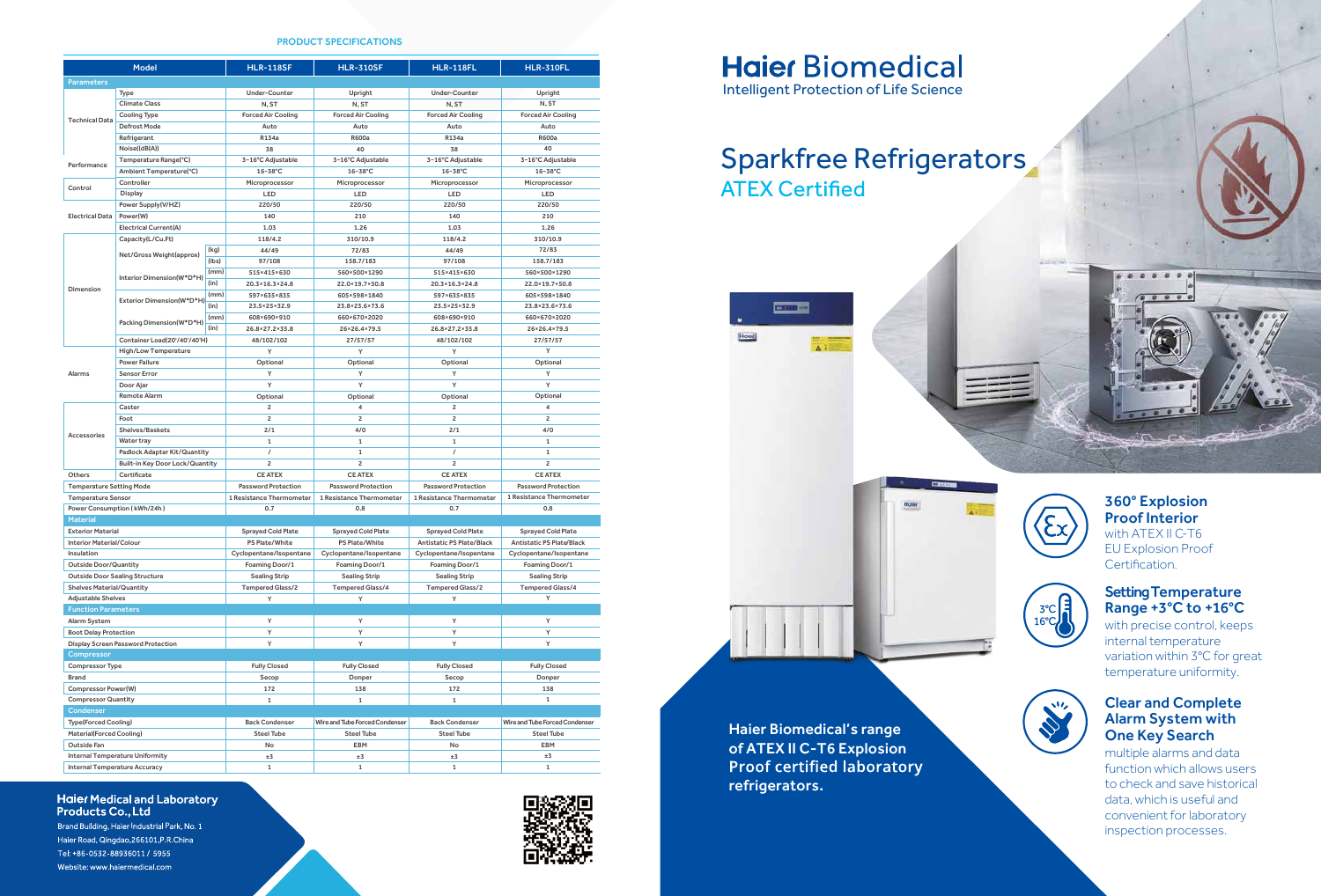## **Haier Biomedical** Intelligent Protection of Life Science











#### Setting Temperature Range +3°C to +16°C

with precise control, keeps internal temperature variation within 3°C for great temperature uniformity.

#### 360° Explosion Proof Interior with ATEX II C-T6 EU Explosion Proof Certification.

# Sparkfree Refrigerators **ATEX Certified**

**COMP** 

#### Clear and Complete Alarm System with One Key Search

multiple alarms and data function which allows users to check and save historical data, which is useful and convenient for laboratory inspection processes.

Haier Biomedical's range of ATEX II C-T6 Explosion<br>Proof certified laboratory refrigerators.

#### **Haier Medical and Laboratory Products Co., Ltd**

Brand Building, Haier Industrial Park, No. 1 Haier Road, Qingdao, 266101, P.R.China Tel: +86-0532-88936011 / 5955 Website: www.haiermedical.com

#### PRODUCT SPECIFICATIONS

| <b>Model</b>                                                   |                                                        |                   | <b>HLR-118SF</b>                          | <b>HLR-310SF</b>                          | <b>HLR-118FL</b>                          | <b>HLR-310FL</b>                          |
|----------------------------------------------------------------|--------------------------------------------------------|-------------------|-------------------------------------------|-------------------------------------------|-------------------------------------------|-------------------------------------------|
| <b>Parameters</b>                                              |                                                        |                   |                                           |                                           |                                           |                                           |
|                                                                | Type                                                   |                   | <b>Under-Counter</b>                      | Upright                                   | <b>Under-Counter</b>                      | Upright                                   |
| <b>Technical Data</b>                                          | <b>Climate Class</b>                                   |                   | N, ST                                     | N, ST                                     | N, ST                                     | N, ST                                     |
|                                                                | <b>Cooling Type</b>                                    |                   | <b>Forced Air Cooling</b>                 | <b>Forced Air Cooling</b>                 | <b>Forced Air Cooling</b>                 | <b>Forced Air Cooling</b>                 |
|                                                                | Defrost Mode                                           |                   | Auto                                      | Auto                                      | Auto                                      | Auto                                      |
|                                                                | Refrigerant                                            |                   | R134a                                     | <b>R600a</b>                              | R134a                                     | <b>R600a</b>                              |
|                                                                | Noise((dB(A))                                          |                   | 38                                        | 40                                        | 38                                        | 40                                        |
| Temperature Range(°C)                                          |                                                        | 3~16°C Adjustable | 3~16°C Adjustable                         | 3~16°C Adjustable                         | 3~16°C Adjustable                         |                                           |
| Performance<br>Ambient Temperature(°C)                         |                                                        | $16 - 38$ °C      | 16~38°C                                   | 16~38°C                                   | 16~38°C                                   |                                           |
|                                                                | Controller                                             |                   | Microprocessor                            | Microprocessor                            | Microprocessor                            | Microprocessor                            |
| Control                                                        | Display                                                |                   | LED                                       | LED                                       | LED                                       | LED                                       |
|                                                                | Power Supply(V/HZ)                                     |                   | 220/50                                    | 220/50                                    | 220/50                                    | 220/50                                    |
| <b>Electrical Data</b>                                         | Power(W)                                               |                   | 140                                       | 210                                       | 140                                       | 210                                       |
|                                                                | <b>Electrical Current(A)</b>                           |                   | 1.03                                      | 1.26                                      | 1.03                                      | 1.26                                      |
| Capacity(L/Cu.Ft)                                              |                                                        |                   | 118/4.2                                   | 310/10.9                                  | 118/4.2                                   | 310/10.9                                  |
| Dimension                                                      |                                                        | (kq)              | 44/49                                     | 72/83                                     | 44/49                                     | 72/83                                     |
|                                                                | Net/Gross Weight(approx)                               | (lbs)             | 97/108                                    | 158.7/183                                 | 97/108                                    | 158.7/183                                 |
|                                                                | Interior Dimension(W*D*H)<br>Exterior Dimension(W*D*H) | (mm)              | 515×415×630                               | 560×500×1290                              | 515×415×630                               | 560×500×1290                              |
|                                                                |                                                        | (in)              | 20.3×16.3×24.8                            | 22.0×19.7×50.8                            | 20.3×16.3×24.8                            | 22.0×19.7×50.8                            |
|                                                                |                                                        | (mm)              | 597×635×835                               | 605×598×1840                              | 597×635×835                               | 605×598×1840                              |
|                                                                |                                                        | (in)              | 23.5×25×32.9                              | 23.8×23.6×73.6                            | 23.5×25×32.9                              | 23.8×23.6×73.6                            |
|                                                                |                                                        | (mm)              | 608×690×910                               | 660×670×2020                              | 608×690×910                               | 660×670×2020                              |
|                                                                | Packing Dimension(W*D*H)                               | (in)              | 26.8×27.2×35.8                            | 26×26.4×79.5                              | 26.8×27.2×35.8                            | 26×26.4×79.5                              |
|                                                                | Container Load(20'/40'/40'H)                           |                   | 48/102/102                                | 27/57/57                                  | 48/102/102                                | 27/57/57                                  |
|                                                                | <b>High/Low Temperature</b>                            |                   | Y                                         | Y                                         | Y                                         | Y                                         |
| <b>Alarms</b>                                                  | <b>Power Failure</b>                                   |                   | Optional                                  | Optional                                  | Optional                                  | Optional                                  |
|                                                                | <b>Sensor Error</b>                                    |                   | Y                                         | Y                                         | Y                                         | Y                                         |
|                                                                | Door Ajar                                              |                   | Y                                         | Y                                         | Y                                         | Y                                         |
|                                                                | <b>Remote Alarm</b>                                    |                   | Optional                                  | Optional                                  | Optional                                  | Optional                                  |
|                                                                | Caster                                                 |                   | $\overline{2}$                            | 4                                         | $\overline{2}$                            | 4                                         |
| <b>Accessories</b>                                             | Foot                                                   |                   | $\overline{2}$                            | $\overline{\mathbf{c}}$                   | $\overline{\mathbf{c}}$                   | $\overline{2}$                            |
|                                                                | Shelves/Baskets                                        |                   | 2/1                                       | 4/0                                       | 2/1                                       | 4/0                                       |
|                                                                | <b>Water tray</b>                                      |                   | $\mathbf{1}$                              | $\mathbf{1}$                              | $\mathbf{1}$                              | $\mathbf{1}$                              |
|                                                                | <b>Padlock Adapter Kit/Quantity</b>                    |                   | $\prime$                                  | $\mathbf{1}$                              | $\prime$                                  | $\mathbf{1}$                              |
|                                                                | <b>Built-in Key Door Lock/Quantity</b>                 |                   | $\overline{2}$                            | $\overline{2}$                            | $\overline{c}$                            | $\overline{2}$                            |
| Others<br>Certificate                                          |                                                        |                   | <b>CE ATEX</b>                            | <b>CE ATEX</b>                            | <b>CE ATEX</b>                            | <b>CE ATEX</b>                            |
| <b>Temperature Setting Mode</b>                                |                                                        |                   | <b>Password Protection</b>                | <b>Password Protection</b>                | <b>Password Protection</b>                | <b>Password Protection</b>                |
| <b>Temperature Sensor</b>                                      |                                                        |                   | 1 Resistance Thermometer                  | 1 Resistance Thermometer                  | 1 Resistance Thermometer                  | 1 Resistance Thermometer                  |
| Power Consumption (kWh/24h)                                    |                                                        |                   | 0.7                                       | 0.8                                       | 0.7                                       | 0.8                                       |
| <b>Material</b>                                                |                                                        |                   |                                           |                                           |                                           |                                           |
| <b>Exterior Material</b>                                       |                                                        |                   | <b>Sprayed Cold Plate</b>                 | <b>Sprayed Cold Plate</b>                 | <b>Sprayed Cold Plate</b>                 | <b>Sprayed Cold Plate</b>                 |
| <b>Interior Material/Colour</b>                                |                                                        |                   | <b>PS Plate/White</b>                     | <b>PS Plate/White</b>                     | <b>Antistatic PS Plate/Black</b>          | <b>Antistatic PS Plate/Black</b>          |
| Insulation                                                     |                                                        |                   |                                           |                                           |                                           |                                           |
| <b>Outside Door/Quantity</b>                                   |                                                        |                   | Cyclopentane/Isopentane<br>Foaming Door/1 | Cyclopentane/Isopentane<br>Foaming Door/1 | Cyclopentane/Isopentane<br>Foaming Door/1 | Cyclopentane/Isopentane<br>Foaming Door/1 |
| <b>Outside Door Sealing Structure</b>                          |                                                        |                   | <b>Sealing Strip</b>                      | <b>Sealing Strip</b>                      | <b>Sealing Strip</b>                      | <b>Sealing Strip</b>                      |
| <b>Shelves Material/Quantity</b>                               |                                                        |                   | <b>Tempered Glass/2</b>                   | <b>Tempered Glass/4</b>                   | <b>Tempered Glass/2</b>                   | <b>Tempered Glass/4</b>                   |
| <b>Adjustable Shelves</b>                                      |                                                        |                   | Υ                                         | Υ                                         | Υ                                         | Υ                                         |
| <b>Function Parameters</b>                                     |                                                        |                   |                                           |                                           |                                           |                                           |
| Alarm System                                                   |                                                        |                   | Υ                                         | Y                                         | Υ                                         | Υ                                         |
| <b>Boot Delay Protection</b>                                   |                                                        |                   | Υ                                         | Y                                         | Υ                                         | Υ                                         |
| Display Screen Password Protection                             |                                                        |                   | Υ                                         | Υ                                         | Υ                                         | Υ                                         |
| Compressor                                                     |                                                        |                   |                                           |                                           |                                           |                                           |
| Compressor Type                                                |                                                        |                   | <b>Fully Closed</b>                       | <b>Fully Closed</b>                       | <b>Fully Closed</b>                       | <b>Fully Closed</b>                       |
| <b>Brand</b>                                                   |                                                        |                   | Secop                                     | Donper                                    | Secop                                     | Donper                                    |
| Compressor Power(W)                                            |                                                        |                   | 172                                       | 138                                       | 172                                       | 138                                       |
| <b>Compressor Quantity</b>                                     |                                                        |                   | $\mathbf{1}$                              | $\mathbf{1}$                              | $\mathbf{1}$                              | $\mathbf{1}$                              |
| Condenser                                                      |                                                        |                   |                                           |                                           |                                           |                                           |
|                                                                |                                                        |                   | <b>Back Condenser</b>                     | Wire and Tube Forced Condenser            | <b>Back Condenser</b>                     | Wire and Tube Forced Condenser            |
| <b>Type(Forced Cooling)</b><br><b>Material(Forced Cooling)</b> |                                                        |                   |                                           | <b>Steel Tube</b>                         | <b>Steel Tube</b>                         | <b>Steel Tube</b>                         |
| Outside Fan                                                    |                                                        |                   | <b>Steel Tube</b><br>No                   | EBM                                       | No                                        | EBM                                       |
| <b>Internal Temperature Uniformity</b>                         |                                                        |                   | ±3                                        | ±3                                        | ±3                                        | ±3                                        |
| <b>Internal Temperature Accuracy</b>                           |                                                        |                   |                                           |                                           |                                           |                                           |
|                                                                |                                                        |                   | $\mathbf{1}$                              | $\mathbf{1}$                              | $\mathbf{1}$                              | $\mathbf{1}$                              |